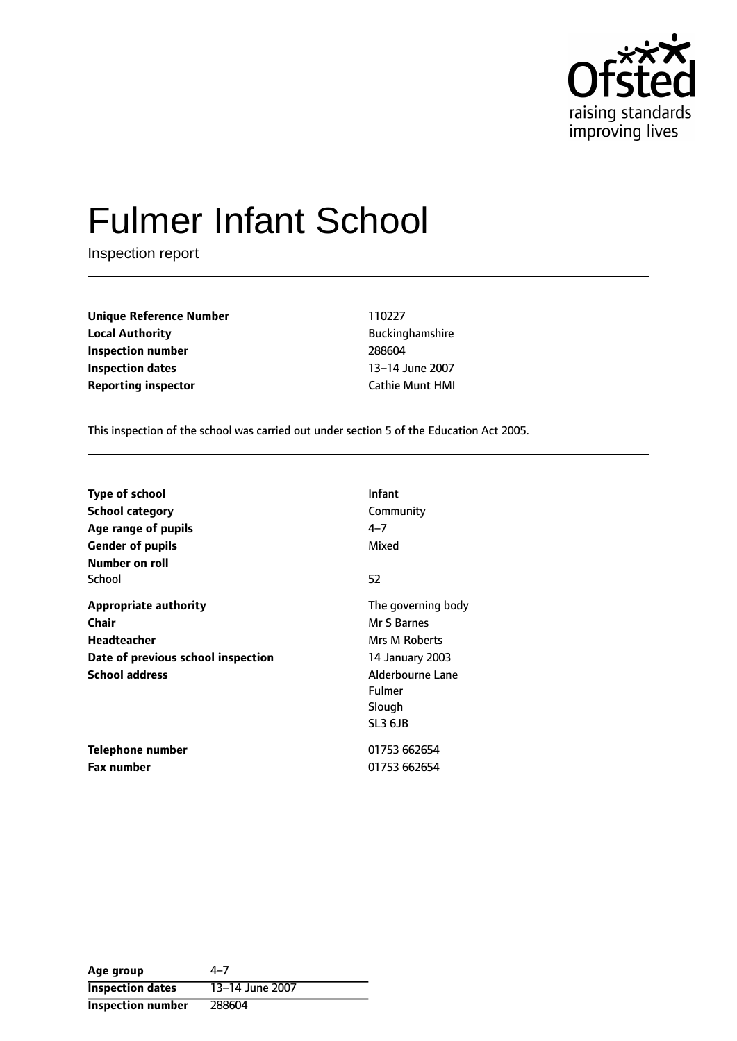

# Fulmer Infant School

Inspection report

**Unique Reference Number** 110227 **Local Authority Buckinghamshire Inspection number** 288604 **Inspection dates** 13-14 June 2007 **Reporting inspector Cathie Munt HMI** 

This inspection of the school was carried out under section 5 of the Education Act 2005.

| <b>Type of school</b>              | Infant             |
|------------------------------------|--------------------|
| <b>School category</b>             | Community          |
| Age range of pupils                | 4–7                |
| <b>Gender of pupils</b>            | Mixed              |
| Number on roll                     |                    |
| School                             | 52                 |
| <b>Appropriate authority</b>       | The governing body |
| Chair                              | Mr S Barnes        |
| <b>Headteacher</b>                 | Mrs M Roberts      |
| Date of previous school inspection | 14 January 2003    |
| <b>School address</b>              | Alderbourne Lane   |
|                                    | <b>Fulmer</b>      |
|                                    | Slough             |
|                                    | SL3 6JB            |
| Telephone number                   | 01753 662654       |
| <b>Fax number</b>                  | 01753 662654       |

| Age group                | 4–7             |
|--------------------------|-----------------|
| <b>Inspection dates</b>  | 13-14 June 2007 |
| <b>Inspection number</b> | 288604          |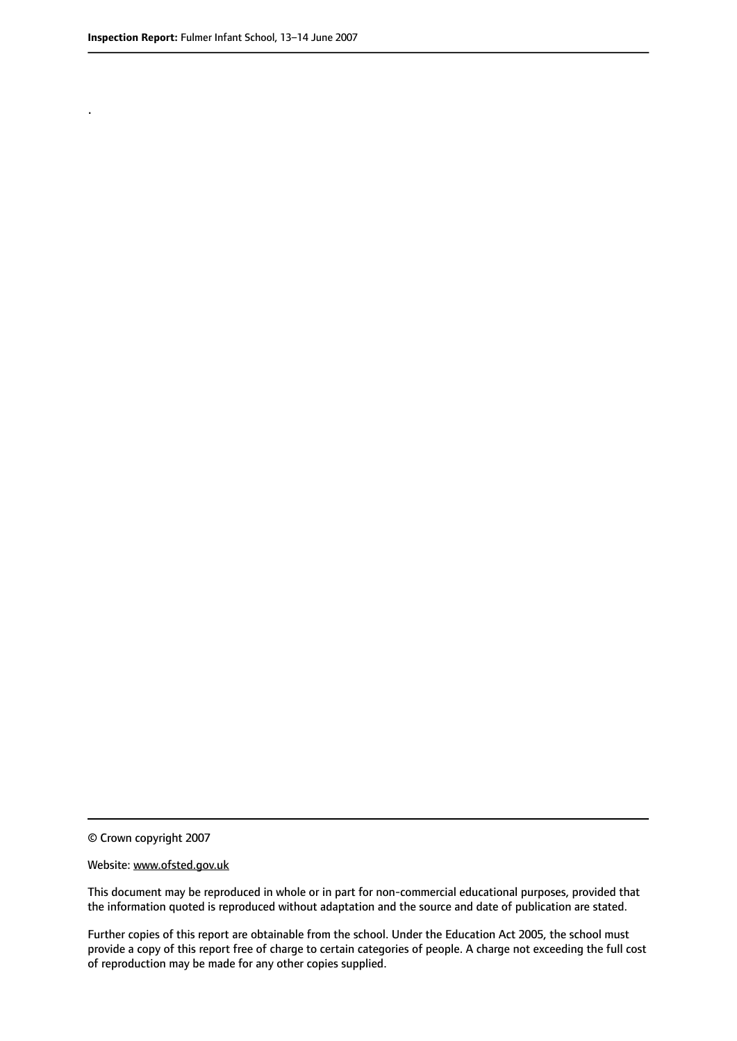.

© Crown copyright 2007

#### Website: www.ofsted.gov.uk

This document may be reproduced in whole or in part for non-commercial educational purposes, provided that the information quoted is reproduced without adaptation and the source and date of publication are stated.

Further copies of this report are obtainable from the school. Under the Education Act 2005, the school must provide a copy of this report free of charge to certain categories of people. A charge not exceeding the full cost of reproduction may be made for any other copies supplied.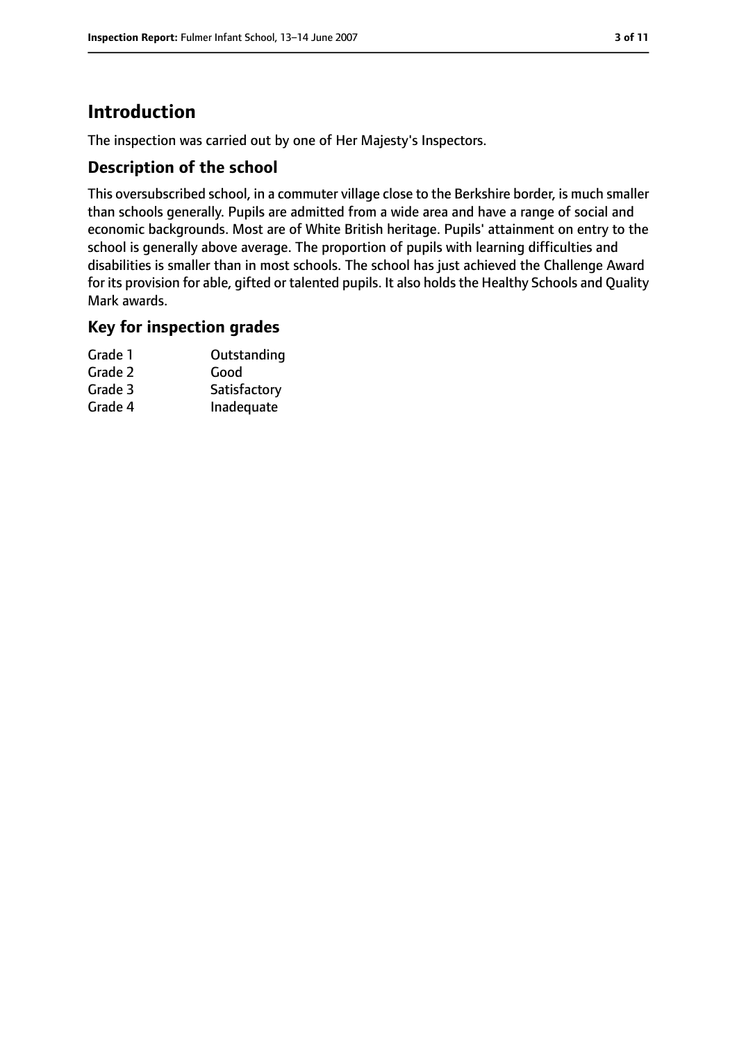# **Introduction**

The inspection was carried out by one of Her Majesty's Inspectors.

## **Description of the school**

This oversubscribed school, in a commuter village close to the Berkshire border, is much smaller than schools generally. Pupils are admitted from a wide area and have a range of social and economic backgrounds. Most are of White British heritage. Pupils' attainment on entry to the school is generally above average. The proportion of pupils with learning difficulties and disabilities is smaller than in most schools. The school has just achieved the Challenge Award for its provision for able, gifted or talented pupils. It also holds the Healthy Schools and Quality Mark awards.

## **Key for inspection grades**

| Grade 1 | Outstanding  |
|---------|--------------|
| Grade 2 | Good         |
| Grade 3 | Satisfactory |
| Grade 4 | Inadequate   |
|         |              |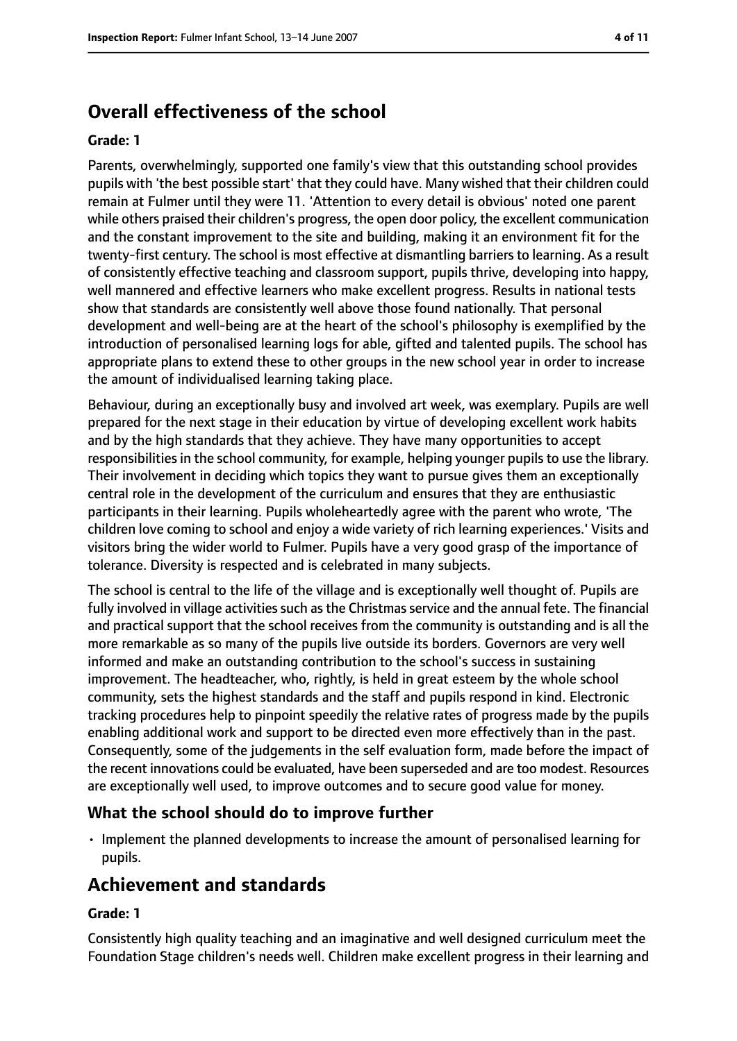# **Overall effectiveness of the school**

#### **Grade: 1**

Parents, overwhelmingly, supported one family's view that this outstanding school provides pupils with 'the best possible start' that they could have. Many wished that their children could remain at Fulmer until they were 11. 'Attention to every detail is obvious' noted one parent while others praised their children's progress, the open door policy, the excellent communication and the constant improvement to the site and building, making it an environment fit for the twenty-first century. The school is most effective at dismantling barriers to learning. As a result of consistently effective teaching and classroom support, pupils thrive, developing into happy, well mannered and effective learners who make excellent progress. Results in national tests show that standards are consistently well above those found nationally. That personal development and well-being are at the heart of the school's philosophy is exemplified by the introduction of personalised learning logs for able, gifted and talented pupils. The school has appropriate plans to extend these to other groups in the new school year in order to increase the amount of individualised learning taking place.

Behaviour, during an exceptionally busy and involved art week, was exemplary. Pupils are well prepared for the next stage in their education by virtue of developing excellent work habits and by the high standards that they achieve. They have many opportunities to accept responsibilities in the school community, for example, helping younger pupils to use the library. Their involvement in deciding which topics they want to pursue gives them an exceptionally central role in the development of the curriculum and ensures that they are enthusiastic participants in their learning. Pupils wholeheartedly agree with the parent who wrote, 'The children love coming to school and enjoy a wide variety of rich learning experiences.' Visits and visitors bring the wider world to Fulmer. Pupils have a very good grasp of the importance of tolerance. Diversity is respected and is celebrated in many subjects.

The school is central to the life of the village and is exceptionally well thought of. Pupils are fully involved in village activities such as the Christmas service and the annual fete. The financial and practical support that the school receives from the community is outstanding and is all the more remarkable as so many of the pupils live outside its borders. Governors are very well informed and make an outstanding contribution to the school's success in sustaining improvement. The headteacher, who, rightly, is held in great esteem by the whole school community, sets the highest standards and the staff and pupils respond in kind. Electronic tracking procedures help to pinpoint speedily the relative rates of progress made by the pupils enabling additional work and support to be directed even more effectively than in the past. Consequently, some of the judgements in the self evaluation form, made before the impact of the recent innovations could be evaluated, have been superseded and are too modest. Resources are exceptionally well used, to improve outcomes and to secure good value for money.

#### **What the school should do to improve further**

• Implement the planned developments to increase the amount of personalised learning for pupils.

## **Achievement and standards**

#### **Grade: 1**

Consistently high quality teaching and an imaginative and well designed curriculum meet the Foundation Stage children's needs well. Children make excellent progress in their learning and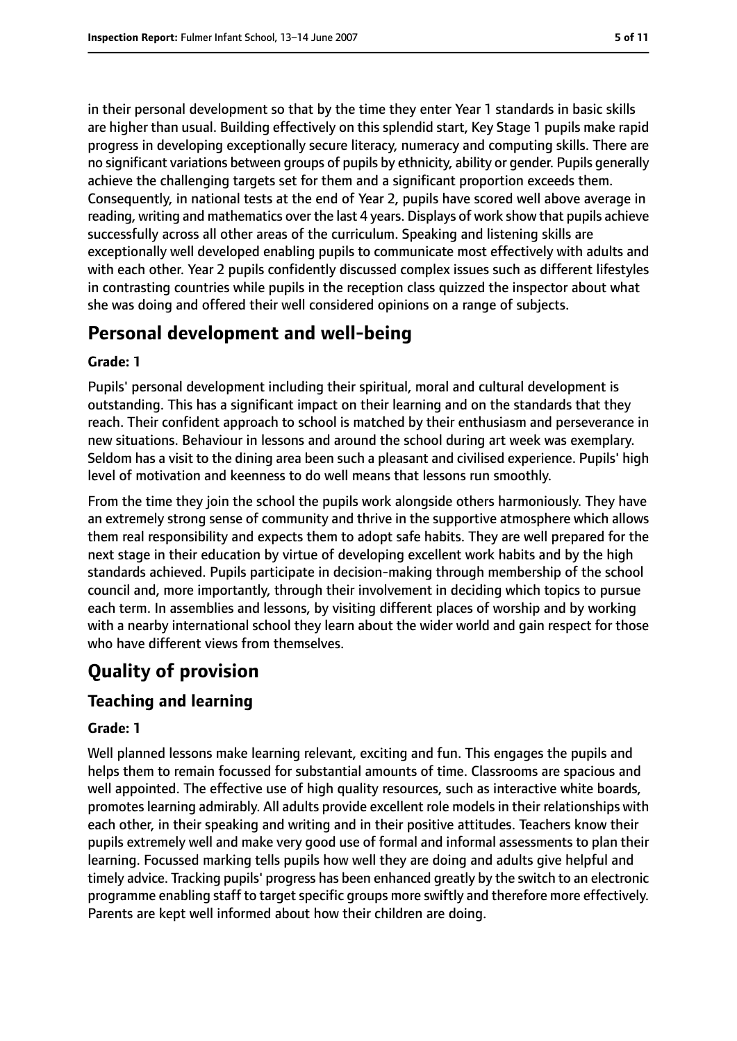in their personal development so that by the time they enter Year 1 standards in basic skills are higher than usual. Building effectively on this splendid start, Key Stage 1 pupils make rapid progress in developing exceptionally secure literacy, numeracy and computing skills. There are no significant variations between groups of pupils by ethnicity, ability or gender. Pupils generally achieve the challenging targets set for them and a significant proportion exceeds them. Consequently, in national tests at the end of Year 2, pupils have scored well above average in reading, writing and mathematics over the last 4 years. Displays of work show that pupils achieve successfully across all other areas of the curriculum. Speaking and listening skills are exceptionally well developed enabling pupils to communicate most effectively with adults and with each other. Year 2 pupils confidently discussed complex issues such as different lifestyles in contrasting countries while pupils in the reception class quizzed the inspector about what she was doing and offered their well considered opinions on a range of subjects.

# **Personal development and well-being**

#### **Grade: 1**

Pupils' personal development including their spiritual, moral and cultural development is outstanding. This has a significant impact on their learning and on the standards that they reach. Their confident approach to school is matched by their enthusiasm and perseverance in new situations. Behaviour in lessons and around the school during art week was exemplary. Seldom has a visit to the dining area been such a pleasant and civilised experience. Pupils' high level of motivation and keenness to do well means that lessons run smoothly.

From the time they join the school the pupils work alongside others harmoniously. They have an extremely strong sense of community and thrive in the supportive atmosphere which allows them real responsibility and expects them to adopt safe habits. They are well prepared for the next stage in their education by virtue of developing excellent work habits and by the high standards achieved. Pupils participate in decision-making through membership of the school council and, more importantly, through their involvement in deciding which topics to pursue each term. In assemblies and lessons, by visiting different places of worship and by working with a nearby international school they learn about the wider world and gain respect for those who have different views from themselves.

# **Quality of provision**

## **Teaching and learning**

#### **Grade: 1**

Well planned lessons make learning relevant, exciting and fun. This engages the pupils and helps them to remain focussed for substantial amounts of time. Classrooms are spacious and well appointed. The effective use of high quality resources, such as interactive white boards, promotes learning admirably. All adults provide excellent role models in their relationships with each other, in their speaking and writing and in their positive attitudes. Teachers know their pupils extremely well and make very good use of formal and informal assessments to plan their learning. Focussed marking tells pupils how well they are doing and adults give helpful and timely advice. Tracking pupils' progress has been enhanced greatly by the switch to an electronic programme enabling staff to target specific groups more swiftly and therefore more effectively. Parents are kept well informed about how their children are doing.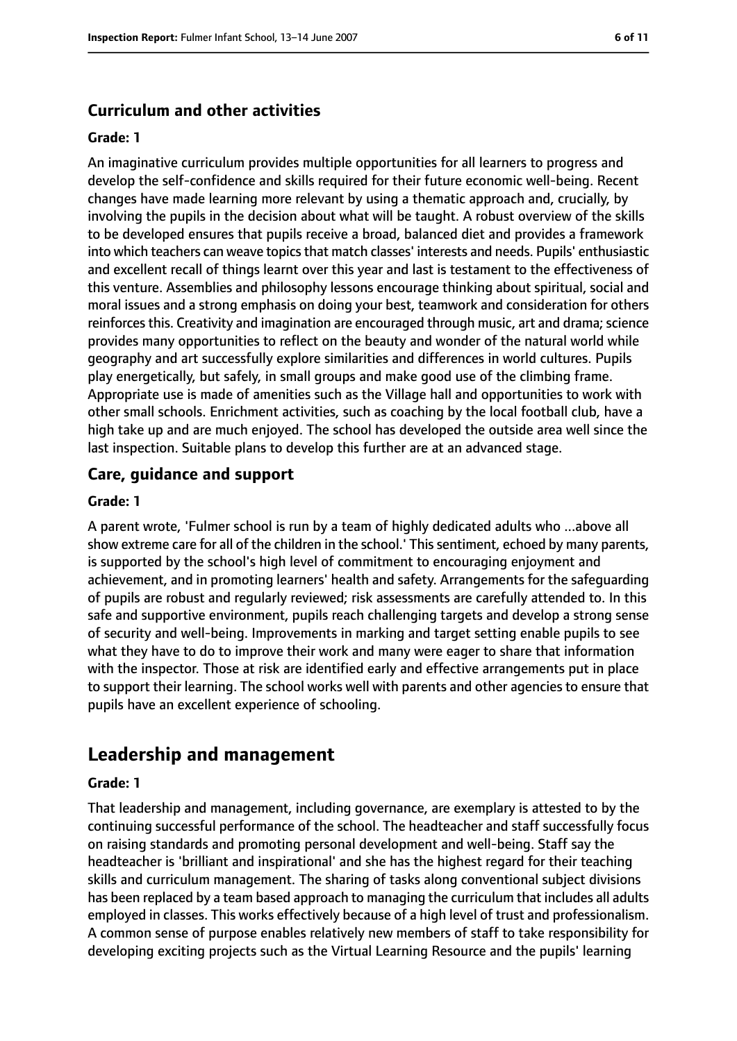## **Curriculum and other activities**

#### **Grade: 1**

An imaginative curriculum provides multiple opportunities for all learners to progress and develop the self-confidence and skills required for their future economic well-being. Recent changes have made learning more relevant by using a thematic approach and, crucially, by involving the pupils in the decision about what will be taught. A robust overview of the skills to be developed ensures that pupils receive a broad, balanced diet and provides a framework into which teachers can weave topics that match classes' interests and needs. Pupils' enthusiastic and excellent recall of things learnt over this year and last is testament to the effectiveness of this venture. Assemblies and philosophy lessons encourage thinking about spiritual, social and moral issues and a strong emphasis on doing your best, teamwork and consideration for others reinforces this. Creativity and imagination are encouraged through music, art and drama; science provides many opportunities to reflect on the beauty and wonder of the natural world while geography and art successfully explore similarities and differences in world cultures. Pupils play energetically, but safely, in small groups and make good use of the climbing frame. Appropriate use is made of amenities such as the Village hall and opportunities to work with other small schools. Enrichment activities, such as coaching by the local football club, have a high take up and are much enjoyed. The school has developed the outside area well since the last inspection. Suitable plans to develop this further are at an advanced stage.

#### **Care, guidance and support**

#### **Grade: 1**

A parent wrote, 'Fulmer school is run by a team of highly dedicated adults who ...above all show extreme care for all of the children in the school.' This sentiment, echoed by many parents, is supported by the school's high level of commitment to encouraging enjoyment and achievement, and in promoting learners' health and safety. Arrangements for the safeguarding of pupils are robust and regularly reviewed; risk assessments are carefully attended to. In this safe and supportive environment, pupils reach challenging targets and develop a strong sense of security and well-being. Improvements in marking and target setting enable pupils to see what they have to do to improve their work and many were eager to share that information with the inspector. Those at risk are identified early and effective arrangements put in place to support their learning. The school works well with parents and other agencies to ensure that pupils have an excellent experience of schooling.

## **Leadership and management**

#### **Grade: 1**

That leadership and management, including governance, are exemplary is attested to by the continuing successful performance of the school. The headteacher and staff successfully focus on raising standards and promoting personal development and well-being. Staff say the headteacher is 'brilliant and inspirational' and she has the highest regard for their teaching skills and curriculum management. The sharing of tasks along conventional subject divisions has been replaced by a team based approach to managing the curriculum that includes all adults employed in classes. This works effectively because of a high level of trust and professionalism. A common sense of purpose enables relatively new members of staff to take responsibility for developing exciting projects such as the Virtual Learning Resource and the pupils' learning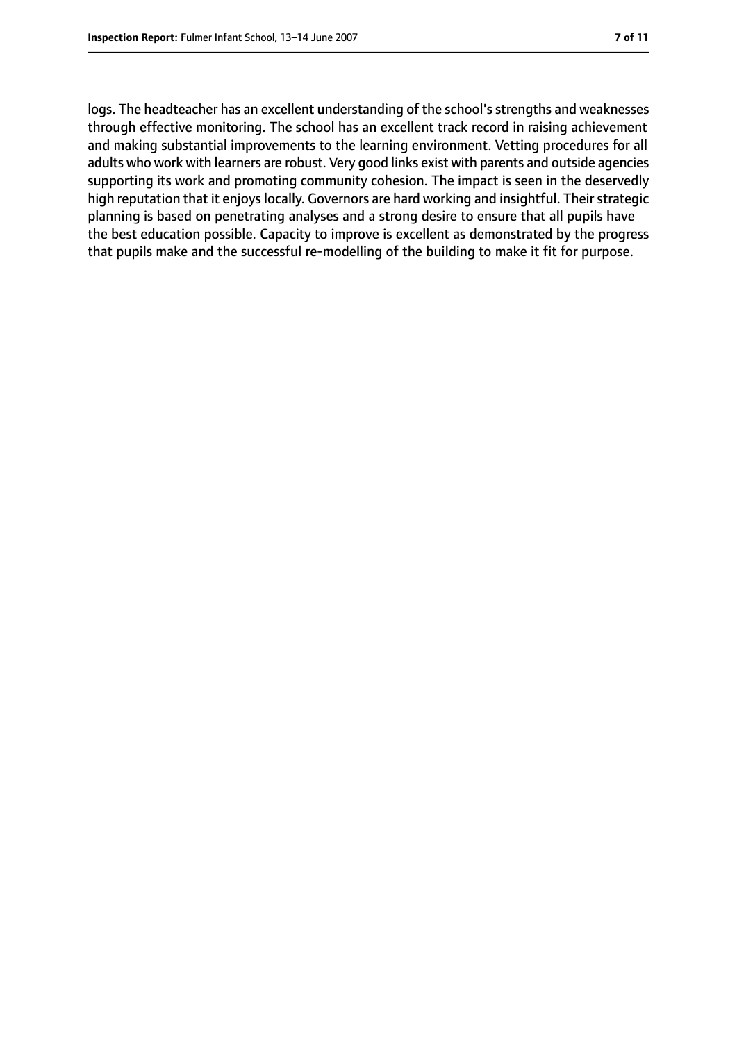logs. The headteacher has an excellent understanding of the school's strengths and weaknesses through effective monitoring. The school has an excellent track record in raising achievement and making substantial improvements to the learning environment. Vetting procedures for all adults who work with learners are robust. Very good links exist with parents and outside agencies supporting its work and promoting community cohesion. The impact is seen in the deservedly high reputation that it enjoys locally. Governors are hard working and insightful. Their strategic planning is based on penetrating analyses and a strong desire to ensure that all pupils have the best education possible. Capacity to improve is excellent as demonstrated by the progress that pupils make and the successful re-modelling of the building to make it fit for purpose.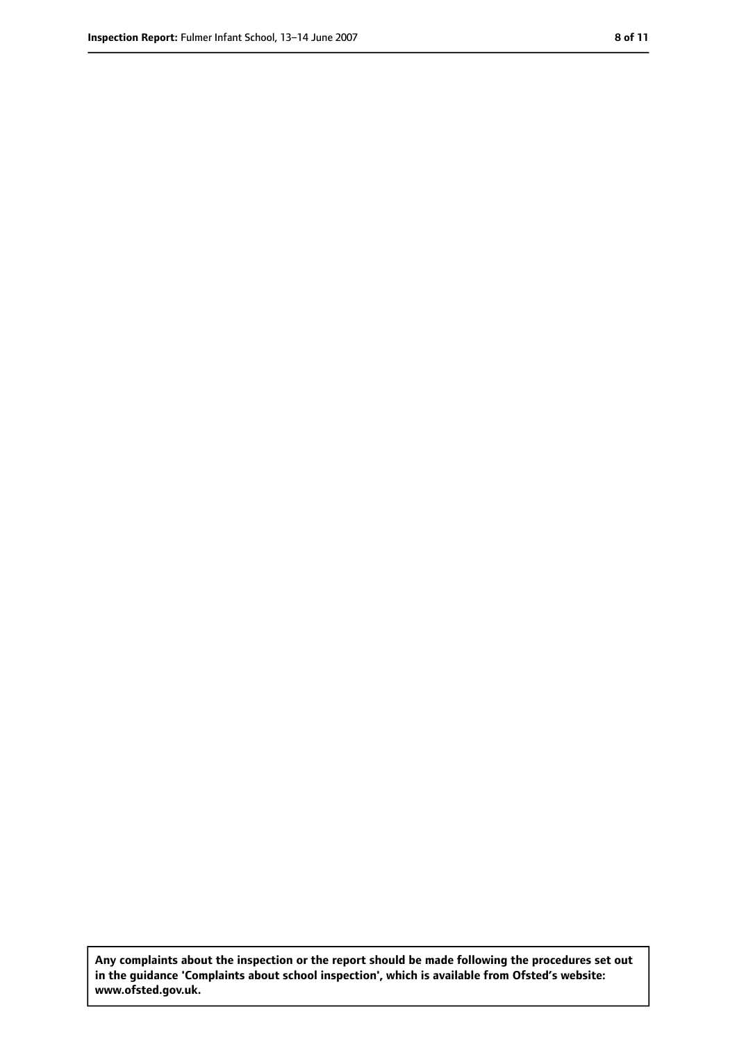**Any complaints about the inspection or the report should be made following the procedures set out in the guidance 'Complaints about school inspection', which is available from Ofsted's website: www.ofsted.gov.uk.**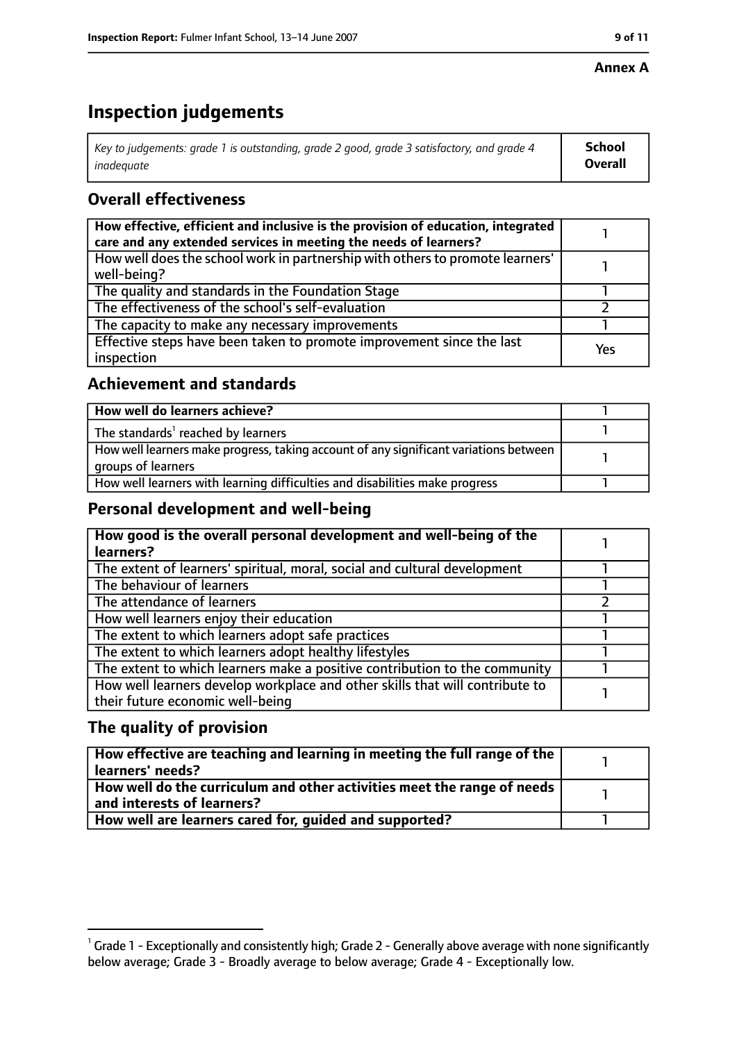#### **Annex A**

# **Inspection judgements**

| Key to judgements: grade 1 is outstanding, grade 2 good, grade 3 satisfactory, and grade 4 | School         |
|--------------------------------------------------------------------------------------------|----------------|
| inadeguate                                                                                 | <b>Overall</b> |

## **Overall effectiveness**

| How effective, efficient and inclusive is the provision of education, integrated<br>care and any extended services in meeting the needs of learners? |     |
|------------------------------------------------------------------------------------------------------------------------------------------------------|-----|
| How well does the school work in partnership with others to promote learners'<br>well-being?                                                         |     |
| The quality and standards in the Foundation Stage                                                                                                    |     |
| The effectiveness of the school's self-evaluation                                                                                                    |     |
| The capacity to make any necessary improvements                                                                                                      |     |
| Effective steps have been taken to promote improvement since the last<br>inspection                                                                  | Yes |

## **Achievement and standards**

| How well do learners achieve?                                                                               |  |
|-------------------------------------------------------------------------------------------------------------|--|
| The standards <sup>1</sup> reached by learners                                                              |  |
| How well learners make progress, taking account of any significant variations between<br>groups of learners |  |
| How well learners with learning difficulties and disabilities make progress                                 |  |

## **Personal development and well-being**

| How good is the overall personal development and well-being of the<br>learners?                                  |  |
|------------------------------------------------------------------------------------------------------------------|--|
| The extent of learners' spiritual, moral, social and cultural development                                        |  |
| The behaviour of learners                                                                                        |  |
| The attendance of learners                                                                                       |  |
| How well learners enjoy their education                                                                          |  |
| The extent to which learners adopt safe practices                                                                |  |
| The extent to which learners adopt healthy lifestyles                                                            |  |
| The extent to which learners make a positive contribution to the community                                       |  |
| How well learners develop workplace and other skills that will contribute to<br>their future economic well-being |  |

## **The quality of provision**

| $\mid$ How effective are teaching and learning in meeting the full range of the $\mid$<br>  learners' needs?               |  |
|----------------------------------------------------------------------------------------------------------------------------|--|
| $\mid$ How well do the curriculum and other activities meet the range of needs $\mid$<br>$\mid$ and interests of learners? |  |
| How well are learners cared for, quided and supported?                                                                     |  |

 $^1$  Grade 1 - Exceptionally and consistently high; Grade 2 - Generally above average with none significantly below average; Grade 3 - Broadly average to below average; Grade 4 - Exceptionally low.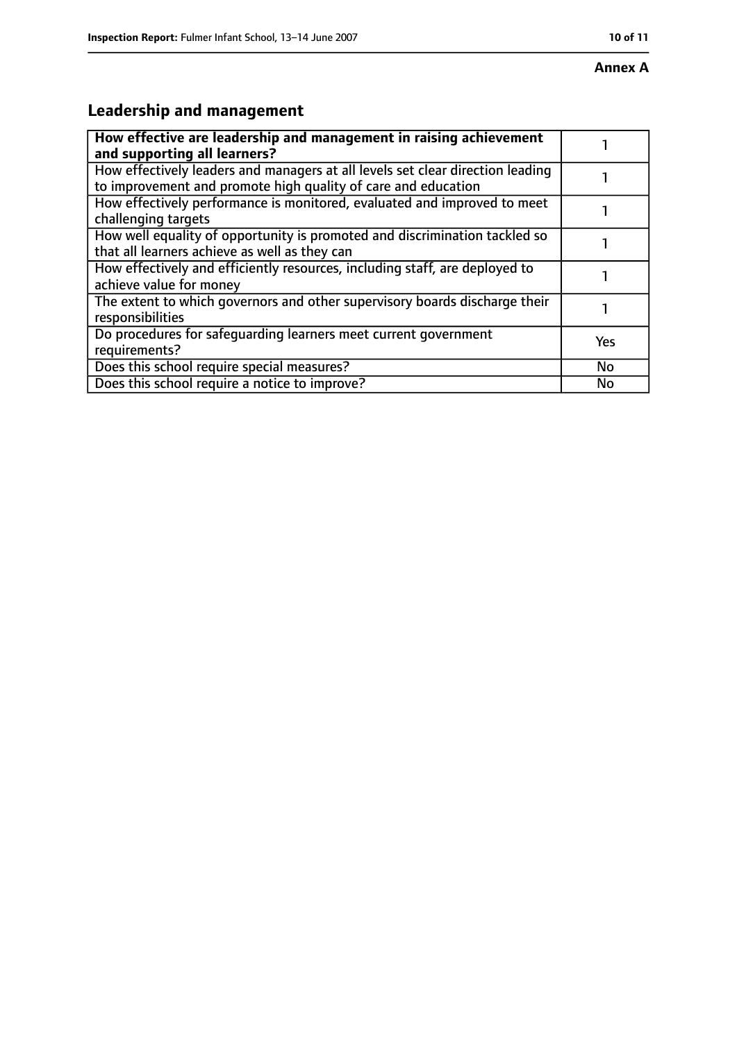#### **Annex A**

# **Leadership and management**

| How effective are leadership and management in raising achievement<br>and supporting all learners?                                              |     |
|-------------------------------------------------------------------------------------------------------------------------------------------------|-----|
| How effectively leaders and managers at all levels set clear direction leading<br>to improvement and promote high quality of care and education |     |
| How effectively performance is monitored, evaluated and improved to meet<br>challenging targets                                                 |     |
| How well equality of opportunity is promoted and discrimination tackled so<br>that all learners achieve as well as they can                     |     |
| How effectively and efficiently resources, including staff, are deployed to<br>achieve value for money                                          |     |
| The extent to which governors and other supervisory boards discharge their<br>responsibilities                                                  |     |
| Do procedures for safequarding learners meet current government<br>requirements?                                                                | Yes |
| Does this school require special measures?                                                                                                      | No  |
| Does this school require a notice to improve?                                                                                                   | No  |